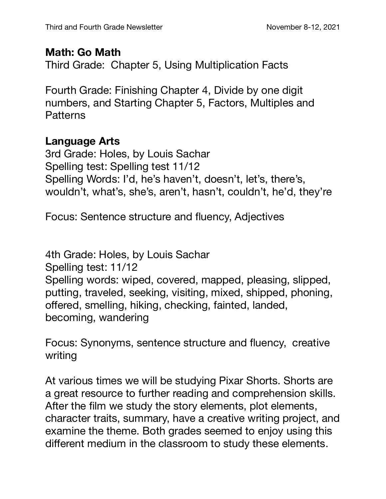## **Math: Go Math**

Third Grade: Chapter 5, Using Multiplication Facts

Fourth Grade: Finishing Chapter 4, Divide by one digit numbers, and Starting Chapter 5, Factors, Multiples and **Patterns** 

## **Language Arts**

3rd Grade: Holes, by Louis Sachar Spelling test: Spelling test 11/12 Spelling Words: I'd, he's haven't, doesn't, let's, there's, wouldn't, what's, she's, aren't, hasn't, couldn't, he'd, they're

Focus: Sentence structure and fluency, Adjectives

4th Grade: Holes, by Louis Sachar Spelling test: 11/12 Spelling words: wiped, covered, mapped, pleasing, slipped, putting, traveled, seeking, visiting, mixed, shipped, phoning, offered, smelling, hiking, checking, fainted, landed, becoming, wandering

Focus: Synonyms, sentence structure and fluency, creative writing

At various times we will be studying Pixar Shorts. Shorts are a great resource to further reading and comprehension skills. After the film we study the story elements, plot elements, character traits, summary, have a creative writing project, and examine the theme. Both grades seemed to enjoy using this different medium in the classroom to study these elements.